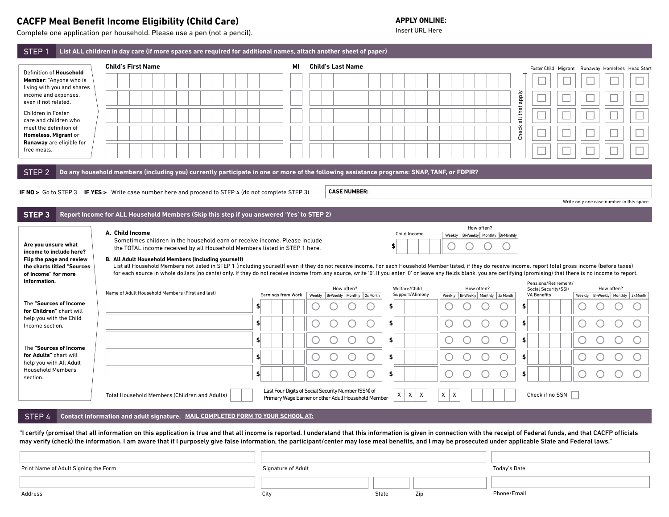## **CACFP Meal Benefit Income Eligibility (Child Care)** APPLY ONLINE:<br>
Complete ane application per bousehold Please use a nep (pot a pencil) and a provided a provided by the local matrix URL Here

Complete one application per household. Please use a pen (not a pencil).

| STEP <sub>1</sub>                                   | List ALL children in day care (if more spaces are required for additional names, attach another sheet of paper)                                                                                                                                                                                                                                                                                                                             |                          |                    |                          |                                                     |               |                 |        |            |                                           |                |                                              |                                                 |            |        |
|-----------------------------------------------------|---------------------------------------------------------------------------------------------------------------------------------------------------------------------------------------------------------------------------------------------------------------------------------------------------------------------------------------------------------------------------------------------------------------------------------------------|--------------------------|--------------------|--------------------------|-----------------------------------------------------|---------------|-----------------|--------|------------|-------------------------------------------|----------------|----------------------------------------------|-------------------------------------------------|------------|--------|
| Definition of Household                             | <b>Child's First Name</b>                                                                                                                                                                                                                                                                                                                                                                                                                   |                          | МI                 | <b>Child's Last Name</b> |                                                     |               |                 |        |            |                                           |                |                                              | Foster Child Migrant Runaway Homeless Head Star |            |        |
| Member: "Anyone who is                              |                                                                                                                                                                                                                                                                                                                                                                                                                                             |                          |                    |                          |                                                     |               |                 |        |            |                                           |                |                                              |                                                 |            |        |
| living with you and shares<br>income and expenses,  |                                                                                                                                                                                                                                                                                                                                                                                                                                             |                          |                    |                          |                                                     |               |                 |        |            |                                           |                |                                              |                                                 |            |        |
| even if not related."<br>Children in Foster         |                                                                                                                                                                                                                                                                                                                                                                                                                                             |                          |                    |                          |                                                     |               |                 |        |            |                                           | all that apply |                                              |                                                 |            |        |
| care and children who<br>meet the definition of     |                                                                                                                                                                                                                                                                                                                                                                                                                                             |                          |                    |                          |                                                     |               |                 |        |            |                                           |                |                                              |                                                 |            |        |
| Homeless, Migrant or<br>Runaway are eligible for    |                                                                                                                                                                                                                                                                                                                                                                                                                                             |                          |                    |                          |                                                     |               |                 |        |            |                                           | Check          |                                              |                                                 |            |        |
| free meals.                                         |                                                                                                                                                                                                                                                                                                                                                                                                                                             |                          |                    |                          |                                                     |               |                 |        |            |                                           |                |                                              |                                                 |            | $\Box$ |
| STEP <sub>2</sub>                                   | Do any household members (including you) currently participate in one or more of the following assistance programs: SNAP, TANF, or FDPIR?                                                                                                                                                                                                                                                                                                   |                          |                    |                          |                                                     |               |                 |        |            |                                           |                |                                              |                                                 |            |        |
|                                                     |                                                                                                                                                                                                                                                                                                                                                                                                                                             |                          |                    |                          |                                                     |               |                 |        |            |                                           |                |                                              |                                                 |            |        |
|                                                     | IF NO > Go to STEP 3 IF YES > Write case number here and proceed to STEP 4 (do not complete STEP 3)                                                                                                                                                                                                                                                                                                                                         |                          |                    |                          | <b>CASE NUMBER:</b>                                 |               |                 |        |            |                                           |                |                                              | Write only one case number in this space.       |            |        |
| STEP <sub>3</sub>                                   | Report Income for ALL Household Members (Skip this step if you answered 'Yes' to STEP 2)                                                                                                                                                                                                                                                                                                                                                    |                          |                    |                          |                                                     |               |                 |        |            |                                           |                |                                              |                                                 |            |        |
|                                                     |                                                                                                                                                                                                                                                                                                                                                                                                                                             |                          |                    |                          |                                                     |               |                 |        | How often? |                                           |                |                                              |                                                 |            |        |
| Are you unsure what                                 | A. Child Income<br>Sometimes children in the household earn or receive income. Please include                                                                                                                                                                                                                                                                                                                                               |                          |                    |                          |                                                     |               | Child Income    |        |            | Weekly   Bi-Weekly   Monthly   Bi-Monthly |                |                                              |                                                 |            |        |
| income to include here?                             | the TOTAL income received by all Household Members listed in STEP 1 here.                                                                                                                                                                                                                                                                                                                                                                   |                          |                    |                          |                                                     |               |                 |        |            |                                           |                |                                              |                                                 |            |        |
| of Income" for more<br>information.                 | for each source in whole dollars (no cents) only. If they do not receive income from any source, write '0'. If you enter '0' or leave any fields blank, you are certifying (promising) that there is no income to report.<br>Name of Adult Household Members (First and last)                                                                                                                                                               |                          |                    |                          | How often?                                          | Welfare/Child | Support/Alimony |        | How often? |                                           |                | Pensions/Retirement/<br>Social Security/SSI/ |                                                 | How often? |        |
| The "Sources of Income                              |                                                                                                                                                                                                                                                                                                                                                                                                                                             | Earnings from Work<br>\$ |                    |                          | Weekly   Bi-Weekly   Monthly   2x Month             | \$            |                 |        |            | Weekly   Bi-Weekly   Monthly   2x Month   | \$             | <b>VA Benefits</b>                           | Weekly   Bi-Weekly   Monthly   2x Month         |            |        |
| for Children" chart will<br>help you with the Child |                                                                                                                                                                                                                                                                                                                                                                                                                                             | \$                       |                    |                          |                                                     | s.            |                 |        |            |                                           | \$             |                                              |                                                 |            |        |
| Income section.                                     |                                                                                                                                                                                                                                                                                                                                                                                                                                             |                          |                    |                          | С                                                   |               |                 |        |            |                                           |                |                                              |                                                 |            |        |
| The "Sources of Income                              |                                                                                                                                                                                                                                                                                                                                                                                                                                             | \$                       |                    |                          |                                                     | \$            |                 |        |            |                                           | \$             |                                              |                                                 |            |        |
| for Adults" chart will<br>help you with All Adult   |                                                                                                                                                                                                                                                                                                                                                                                                                                             | \$                       |                    |                          |                                                     | \$            |                 |        |            | O                                         | \$             |                                              |                                                 |            |        |
| <b>Household Members</b><br>section.                |                                                                                                                                                                                                                                                                                                                                                                                                                                             | \$                       |                    |                          | C                                                   | \$            |                 |        |            | O                                         | \$             |                                              |                                                 | C          |        |
|                                                     | Total Household Members (Children and Adults)                                                                                                                                                                                                                                                                                                                                                                                               |                          |                    |                          | Last Four Digits of Social Security Number (SSN) of | χ             | X<br>X          | X<br>X |            |                                           |                | Check if no SSN                              |                                                 |            |        |
|                                                     |                                                                                                                                                                                                                                                                                                                                                                                                                                             |                          |                    |                          | Primary Wage Earner or other Adult Household Member |               |                 |        |            |                                           |                |                                              |                                                 |            |        |
| STEP <sub>4</sub>                                   | Contact information and adult signature. MAIL COMPLETED FORM TO YOUR SCHOOL AT:                                                                                                                                                                                                                                                                                                                                                             |                          |                    |                          |                                                     |               |                 |        |            |                                           |                |                                              |                                                 |            |        |
|                                                     | "I certify (promise) that all information on this application is true and that all income is reported. I understand that this information is given in connection with the receipt of Federal funds, and that CACFP officials<br>may verify (check) the information. I am aware that if I purposely give false information, the participant/center may lose meal benefits, and I may be prosecuted under applicable State and Federal laws." |                          |                    |                          |                                                     |               |                 |        |            |                                           |                |                                              |                                                 |            |        |
|                                                     |                                                                                                                                                                                                                                                                                                                                                                                                                                             |                          |                    |                          |                                                     |               |                 |        |            |                                           |                |                                              |                                                 |            |        |
|                                                     |                                                                                                                                                                                                                                                                                                                                                                                                                                             |                          |                    |                          |                                                     |               |                 |        |            |                                           |                |                                              |                                                 |            |        |
| Print Name of Adult Signing the Form                |                                                                                                                                                                                                                                                                                                                                                                                                                                             |                          | Signature of Adult |                          |                                                     |               |                 |        |            | Today's Date                              |                |                                              |                                                 |            |        |
|                                                     |                                                                                                                                                                                                                                                                                                                                                                                                                                             |                          |                    |                          |                                                     |               |                 |        |            |                                           |                |                                              |                                                 |            |        |